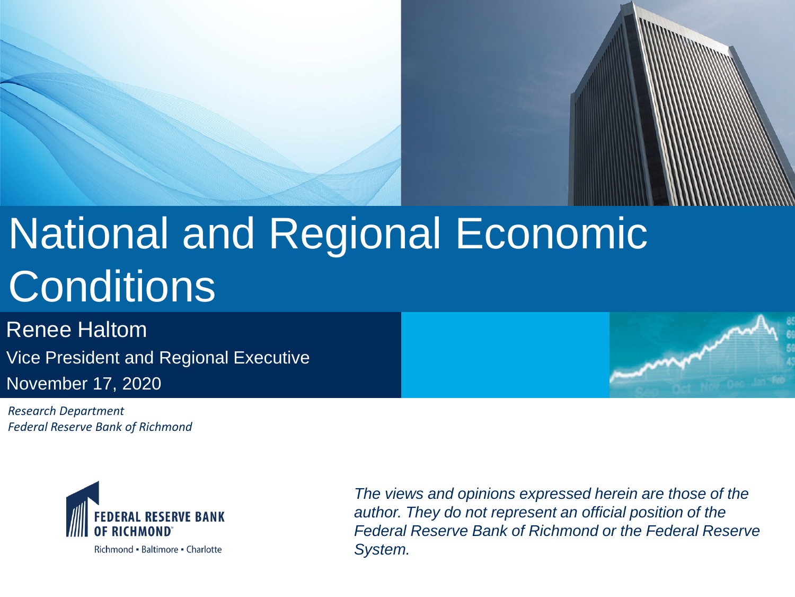# National and Regional Economic **Conditions**

Renee Haltom Vice President and Regional Executive November 17, 2020

*Research Department Federal Reserve Bank of Richmond*



Richmond • Baltimore • Charlotte

*The views and opinions expressed herein are those of the author. They do not represent an official position of the Federal Reserve Bank of Richmond or the Federal Reserve System.*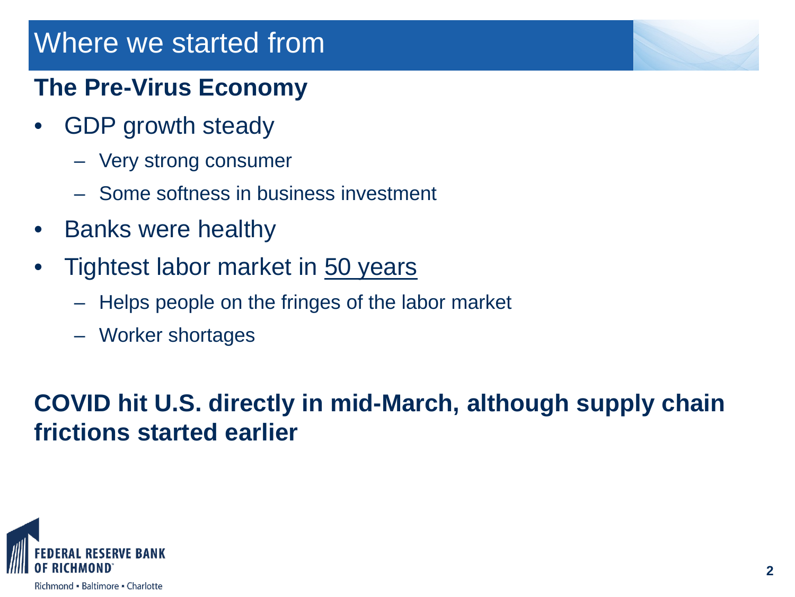## Where we started from

### **The Pre-Virus Economy**

- GDP growth steady
	- Very strong consumer
	- Some softness in business investment
- Banks were healthy
- Tightest labor market in 50 years
	- Helps people on the fringes of the labor market
	- Worker shortages

**COVID hit U.S. directly in mid-March, although supply chain frictions started earlier**

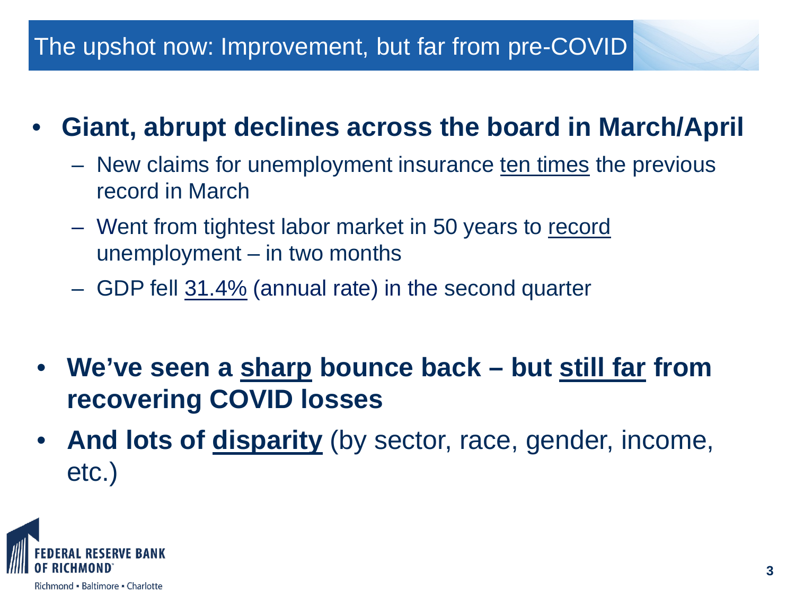### The upshot now: Improvement, but far from pre-COVID

## • **Giant, abrupt declines across the board in March/April**

- New claims for unemployment insurance ten times the previous record in March
- Went from tightest labor market in 50 years to record unemployment – in two months
- GDP fell 31.4% (annual rate) in the second quarter
- **We've seen a sharp bounce back – but still far from recovering COVID losses**
- And lots of **disparity** (by sector, race, gender, income, etc.)

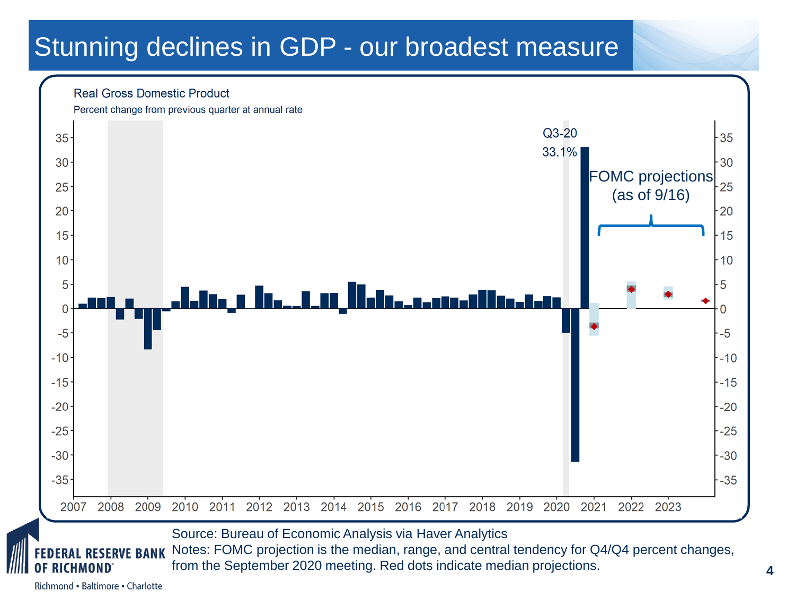## Stunning declines in GDP - our broadest measure

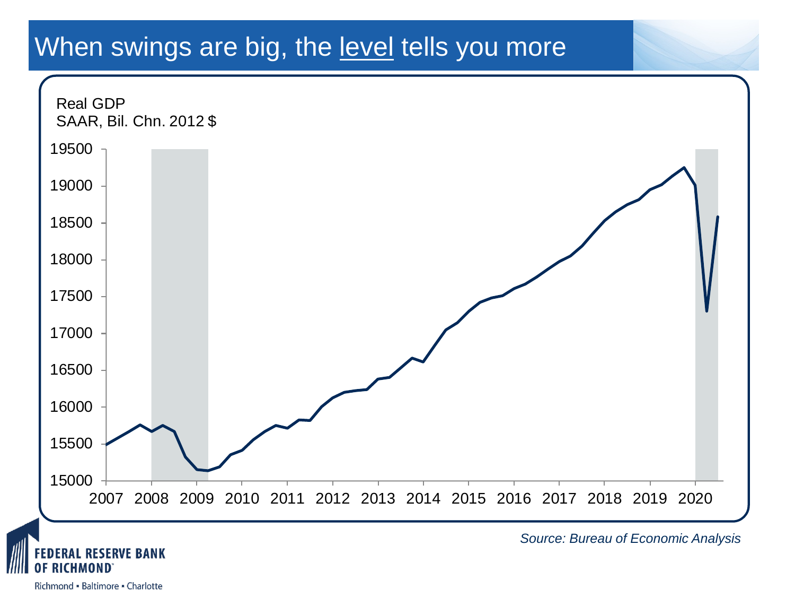### When swings are big, the level tells you more

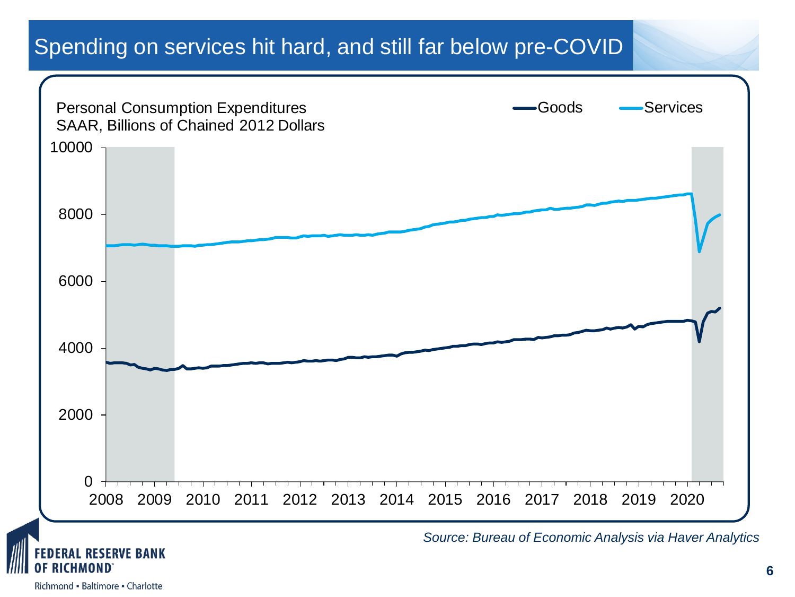#### Spending on services hit hard, and still far below pre-COVID

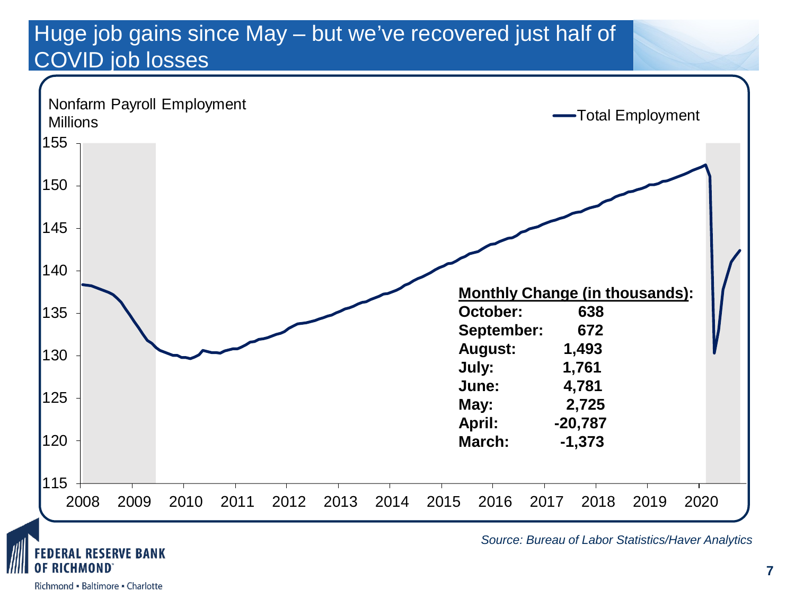#### Huge job gains since May – but we've recovered just half of COVID job losses



Richmond - Baltimore - Charlotte

CHMOND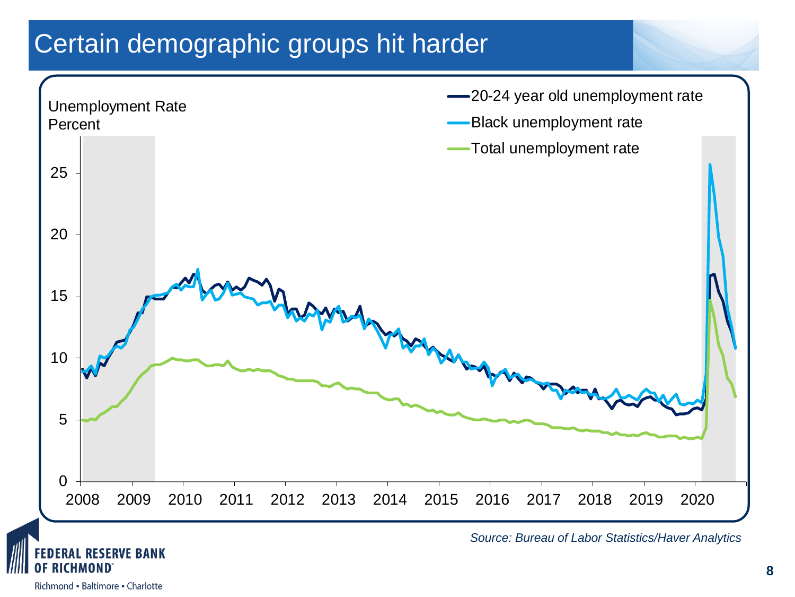## Certain demographic groups hit harder

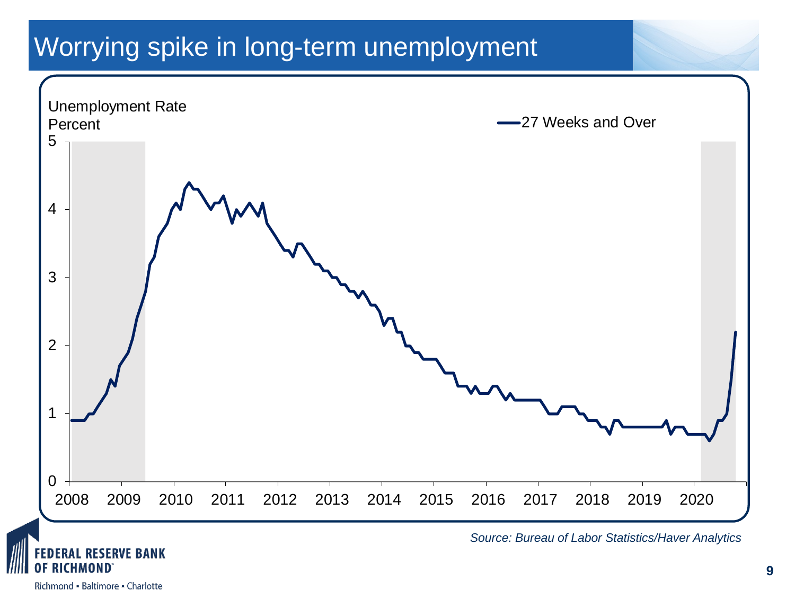## Worrying spike in long-term unemployment

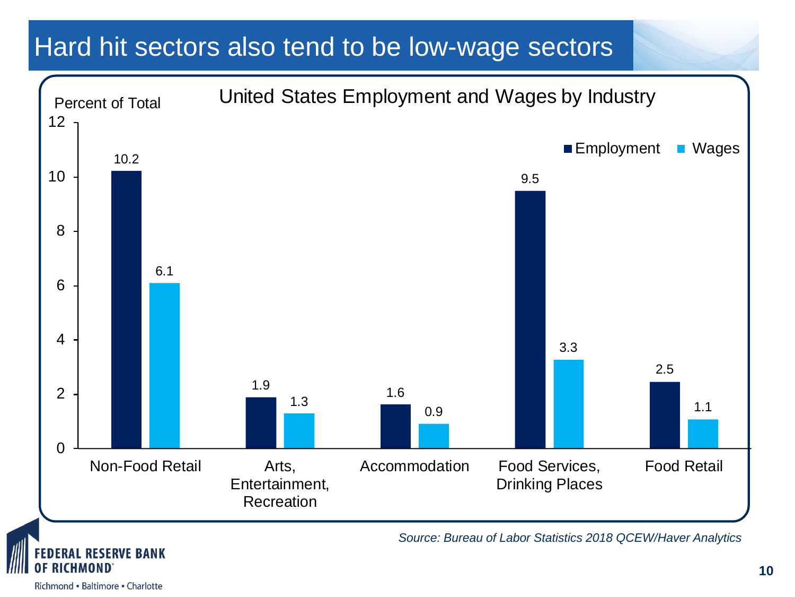### Hard hit sectors also tend to be low-wage sectors

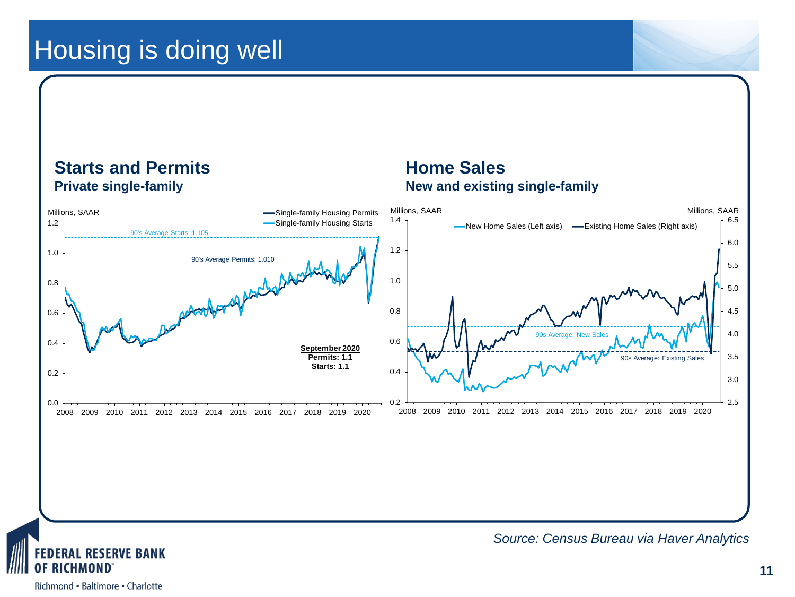### Housing is doing well



**AL RESERVE BANK** CHMOND

*Source: Census Bureau via Haver Analytics*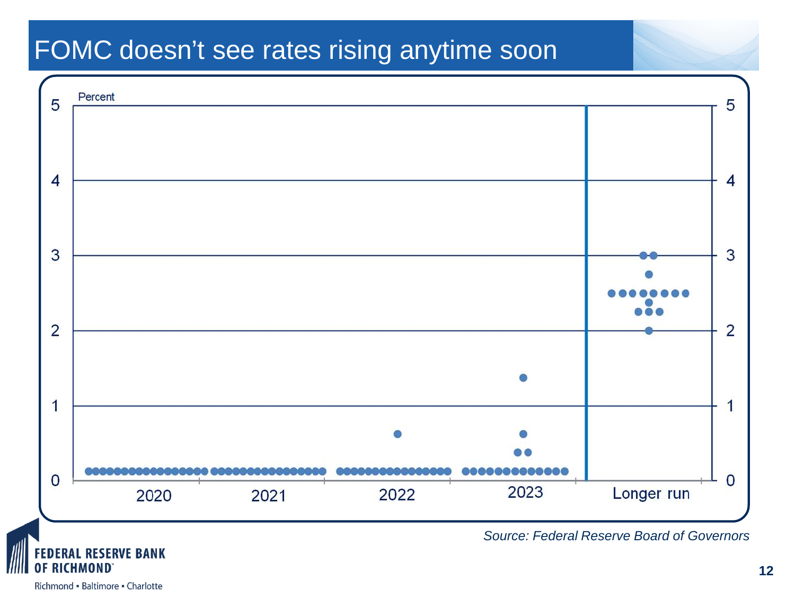### FOMC doesn't see rates rising anytime soon



**DERAL RESERVE BANK** ICHMOND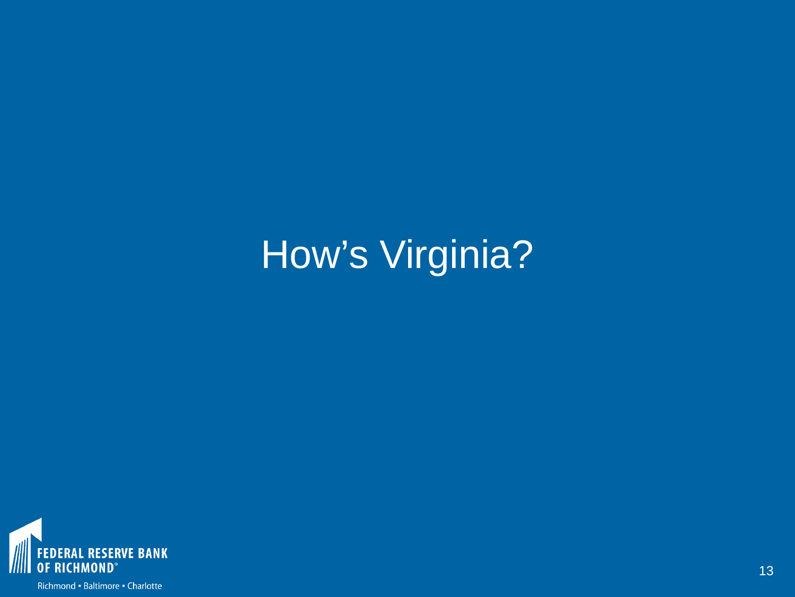# How's Virginia?

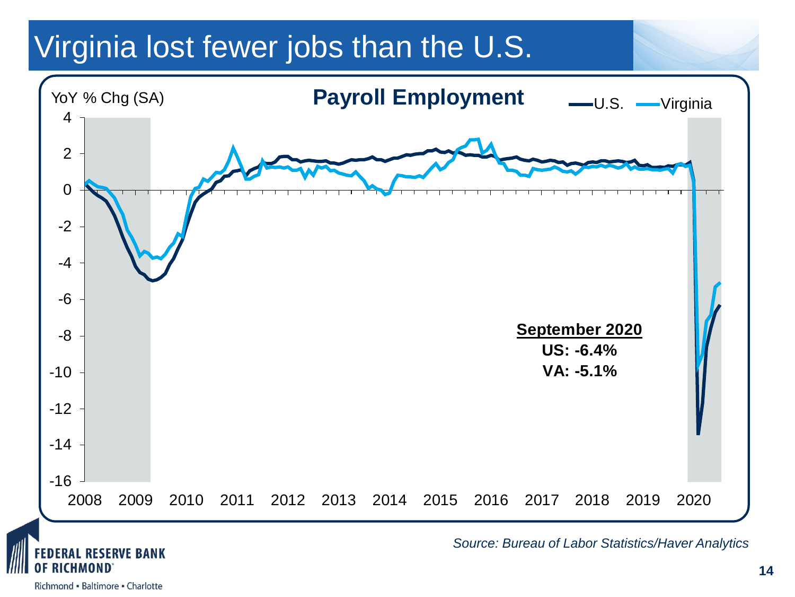# Virginia lost fewer jobs than the U.S.



**DERAL RESERVE BANK** CHMOND

*Source: Bureau of Labor Statistics/Haver Analytics*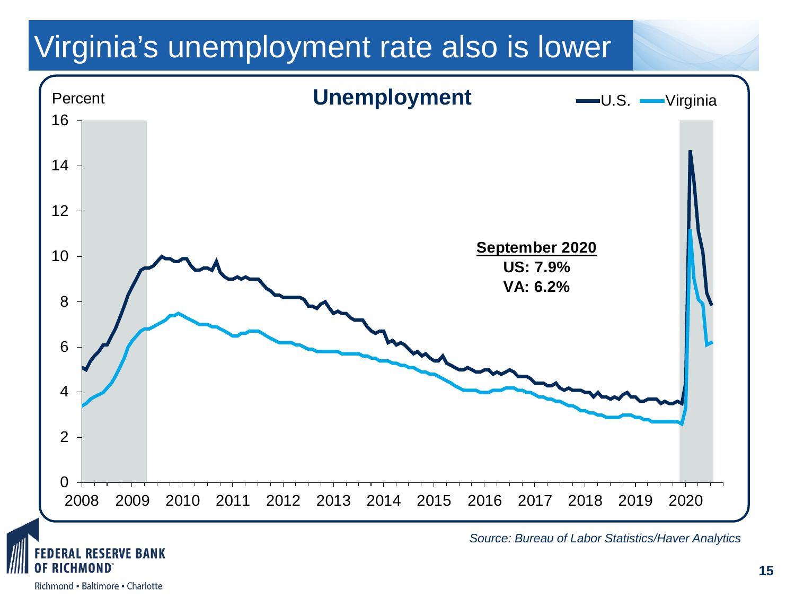# Virginia's unemployment rate also is lower



Richmond - Baltimore - Charlotte

CHMOND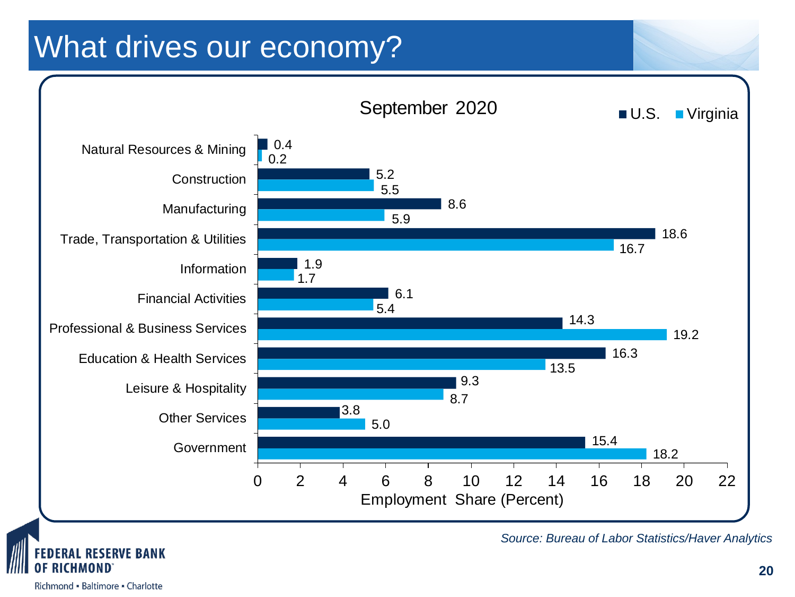# What drives our economy?



**ESERVE BANK** 

*Source: Bureau of Labor Statistics/Haver Analytics*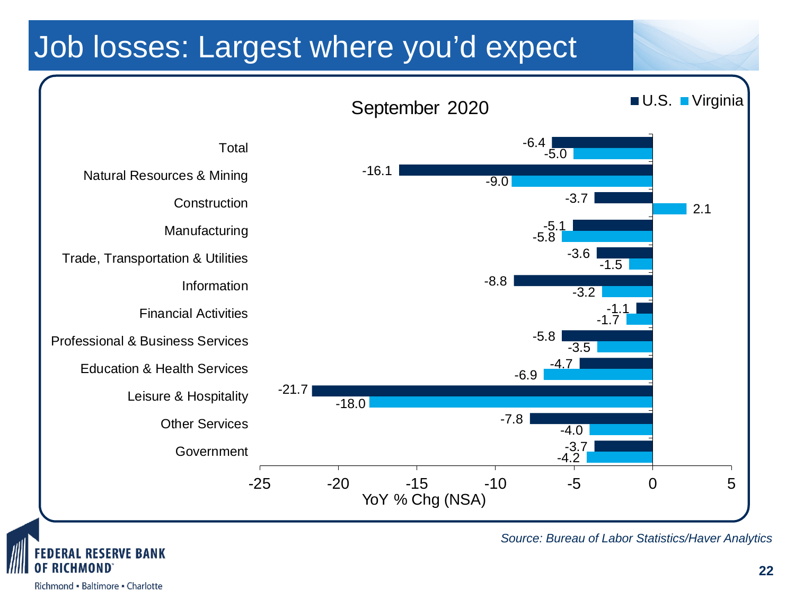# Job losses: Largest where you'd expect





*Source: Bureau of Labor Statistics/Haver Analytics*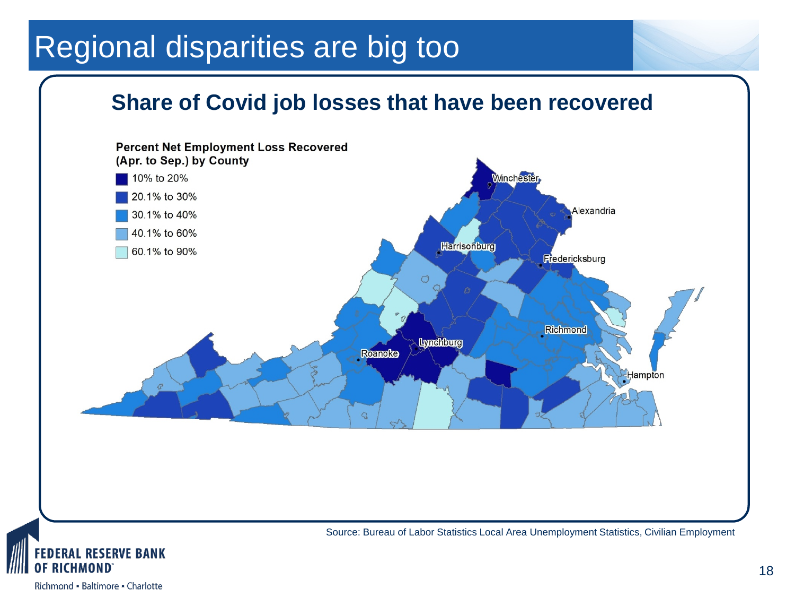# Regional disparities are big too

#### **Share of Covid job losses that have been recovered**





18

Richmond - Baltimore - Charlotte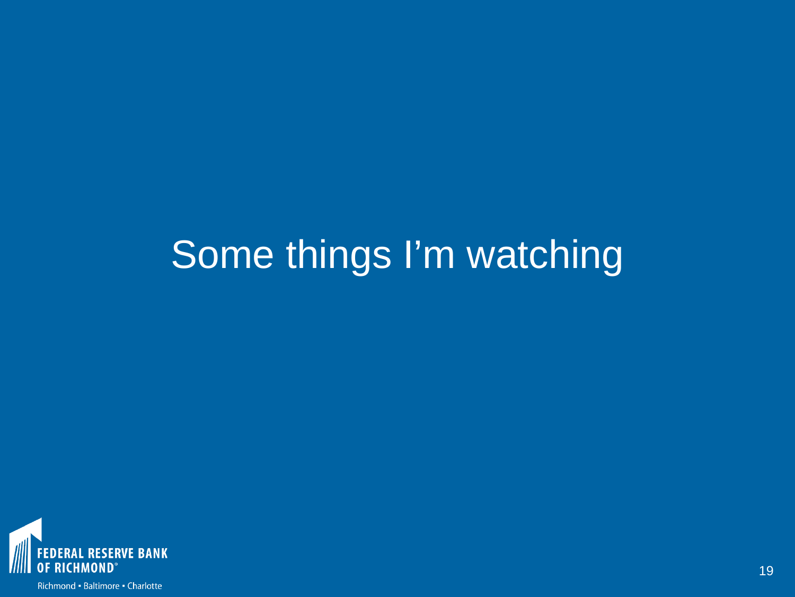# Some things I'm watching

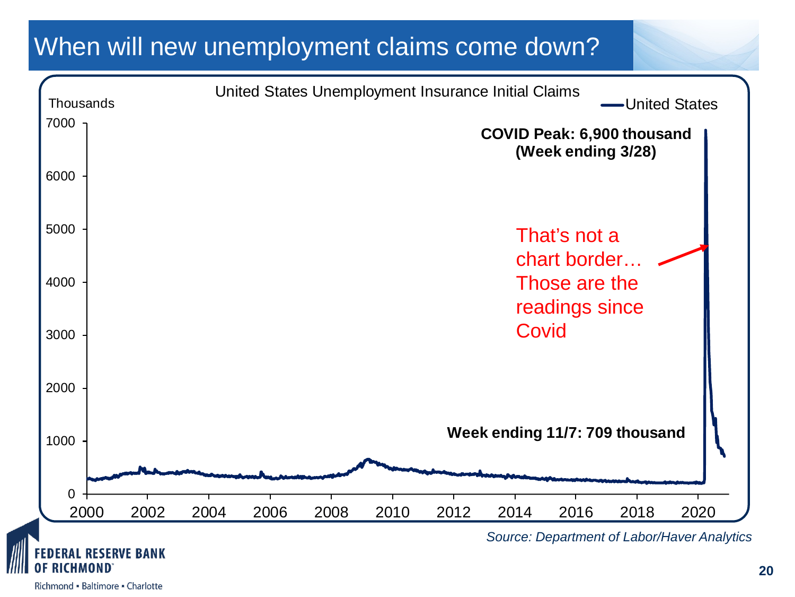### When will new unemployment claims come down?

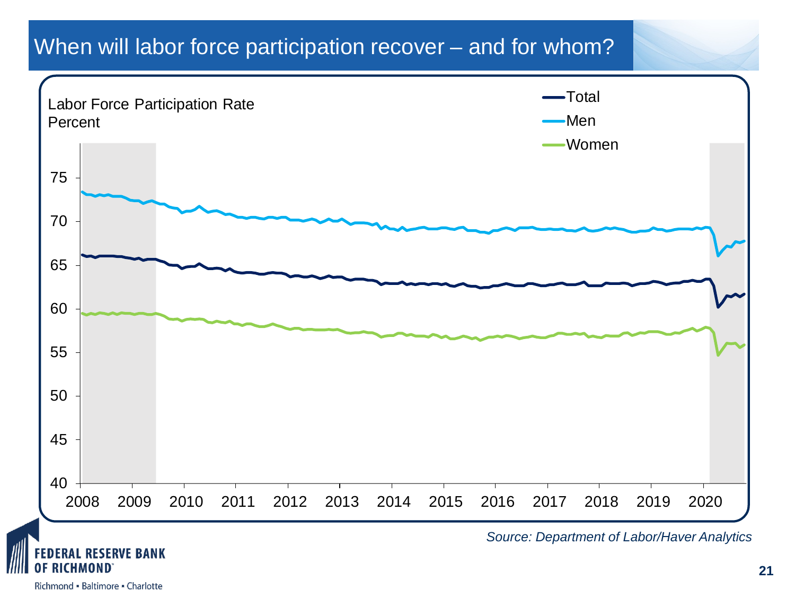#### When will labor force participation recover – and for whom?



#### Richmond - Baltimore - Charlotte

ICHMOND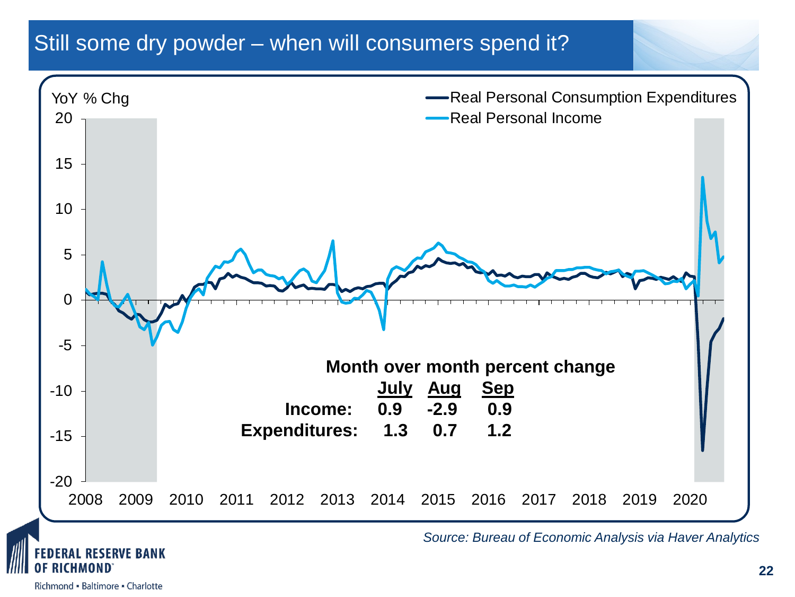#### Still some dry powder – when will consumers spend it?



**RAL RESERVE BANK** 

Richmond - Baltimore - Charlotte

*Source: Bureau of Economic Analysis via Haver Analytics*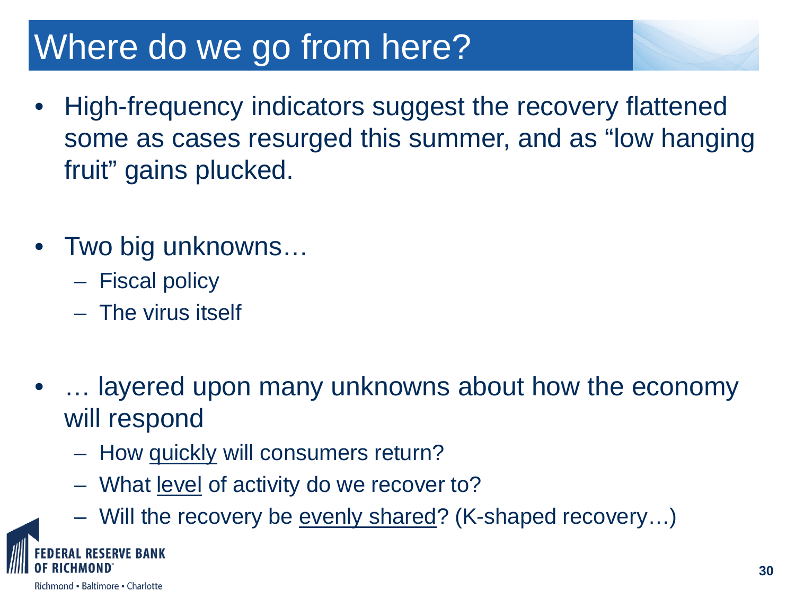# Where do we go from here?

- High-frequency indicators suggest the recovery flattened some as cases resurged this summer, and as "low hanging fruit" gains plucked.
- Two big unknowns…
	- Fiscal policy
	- The virus itself
- … layered upon many unknowns about how the economy will respond
	- How quickly will consumers return?
	- What <u>level</u> of activity do we recover to?
	- Will the recovery be evenly shared? (K-shaped recovery…)

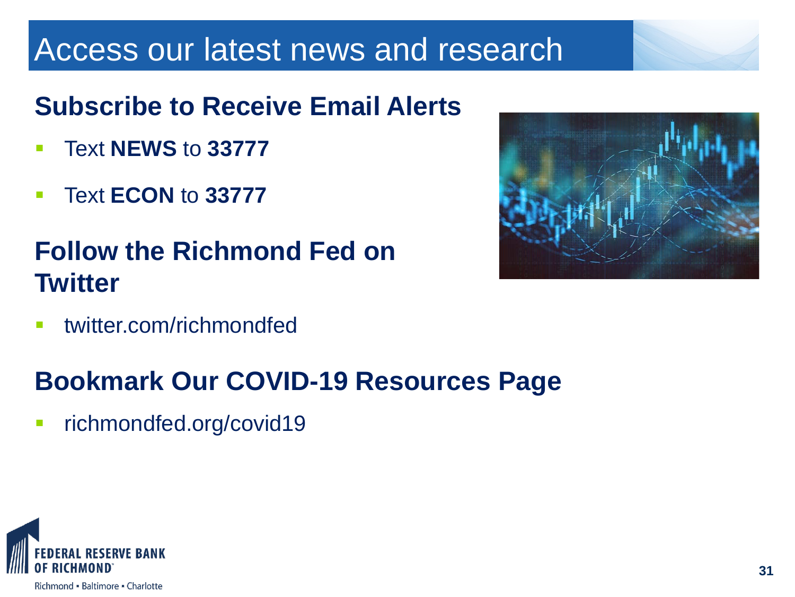# Access our latest news and research

# **Subscribe to Receive Email Alerts**

- Text **NEWS** to **33777**
- Text **ECON** to **33777**

# **Follow the Richmond Fed on Twitter**

**ultimate** twitter.com/richmondfed

# **Bookmark Our COVID-19 Resources Page**

**Fighter richmondfed.org/covid19** 



Richmond - Baltimore - Charlotte